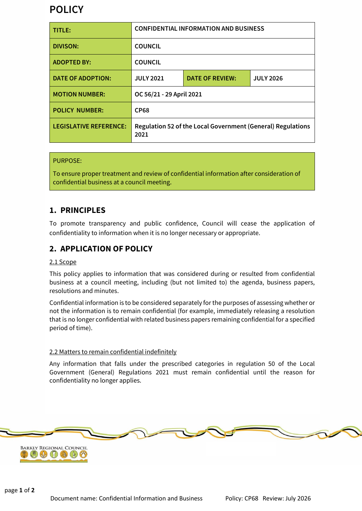# **POLICY**

| TITLE:                        | <b>CONFIDENTIAL INFORMATION AND BUSINESS</b>                        |                        |                  |
|-------------------------------|---------------------------------------------------------------------|------------------------|------------------|
| <b>DIVISON:</b>               | <b>COUNCIL</b>                                                      |                        |                  |
| <b>ADOPTED BY:</b>            | <b>COUNCIL</b>                                                      |                        |                  |
| <b>DATE OF ADOPTION:</b>      | <b>JULY 2021</b>                                                    | <b>DATE OF REVIEW:</b> | <b>JULY 2026</b> |
| <b>MOTION NUMBER:</b>         | OC 56/21 - 29 April 2021                                            |                        |                  |
| <b>POLICY NUMBER:</b>         | <b>CP68</b>                                                         |                        |                  |
| <b>LEGISLATIVE REFERENCE:</b> | Regulation 52 of the Local Government (General) Regulations<br>2021 |                        |                  |

### PURPOSE:

To ensure proper treatment and review of confidential information after consideration of confidential business at a council meeting.

## **1. PRINCIPLES**

To promote transparency and public confidence, Council will cease the application of confidentiality to information when it is no longer necessary or appropriate.

## **2. APPLICATION OF POLICY**

#### 2.1 Scope

This policy applies to information that was considered during or resulted from confidential business at a council meeting, including (but not limited to) the agenda, business papers, resolutions and minutes.

Confidential information is to be considered separately for the purposes of assessing whether or not the information is to remain confidential (for example, immediately releasing a resolution that is no longer confidential with related business papers remaining confidential for a specified period of time).

#### 2.2 Matters to remain confidential indefinitely

Any information that falls under the prescribed categories in regulation 50 of the Local Government (General) Regulations 2021 must remain confidential until the reason for confidentiality no longer applies.